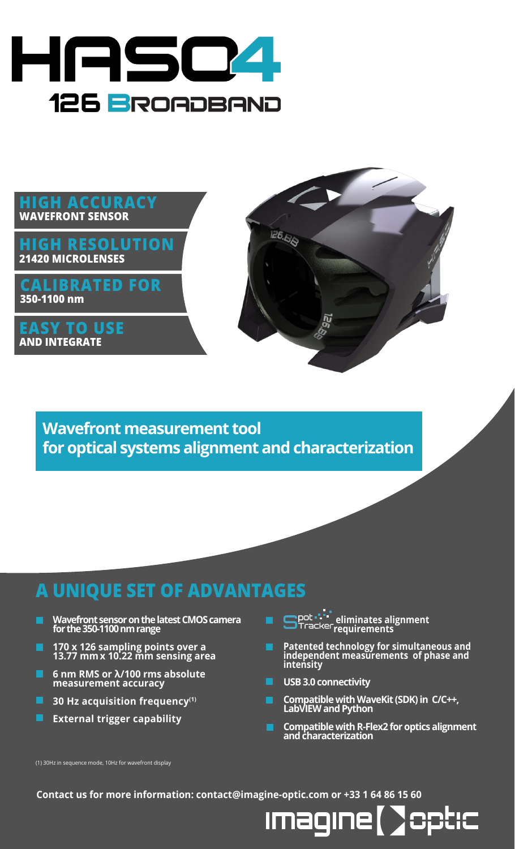



**Wavefront measurement tool for optical systems alignment and characterization**

## **A UNIQUE SET OF ADVANTAGES**

- ▬ **Wavefront sensor on the latest CMOS camera for the 350-1100 nm range**
- **170 x 126 sampling points over a 13.77 mmx 10.22 mm sensing area**
- **6 nm RMS or λ/100 rms absolute measurement accuracy**
- $\blacksquare$  30 Hz acquisition frequency<sup>(1)</sup>
- П **External trigger capability**
- **eliminates alignment requirements**
- **Patented technology for simultaneous and independent measurements of phase and intensity**
- **USB 3.0 connectivity**

Imagine

- **Compatible with WaveKit (SDK) in C/C++, LabVIEW and Python**
- **Compatible with R-Flex2 for optics alignment and characterization**

DHC

(1) 30Hz in sequence mode, 10Hz for wavefront display

**Contact us for more information: contact@imagine-optic.com or +33 1 64 86 15 60**